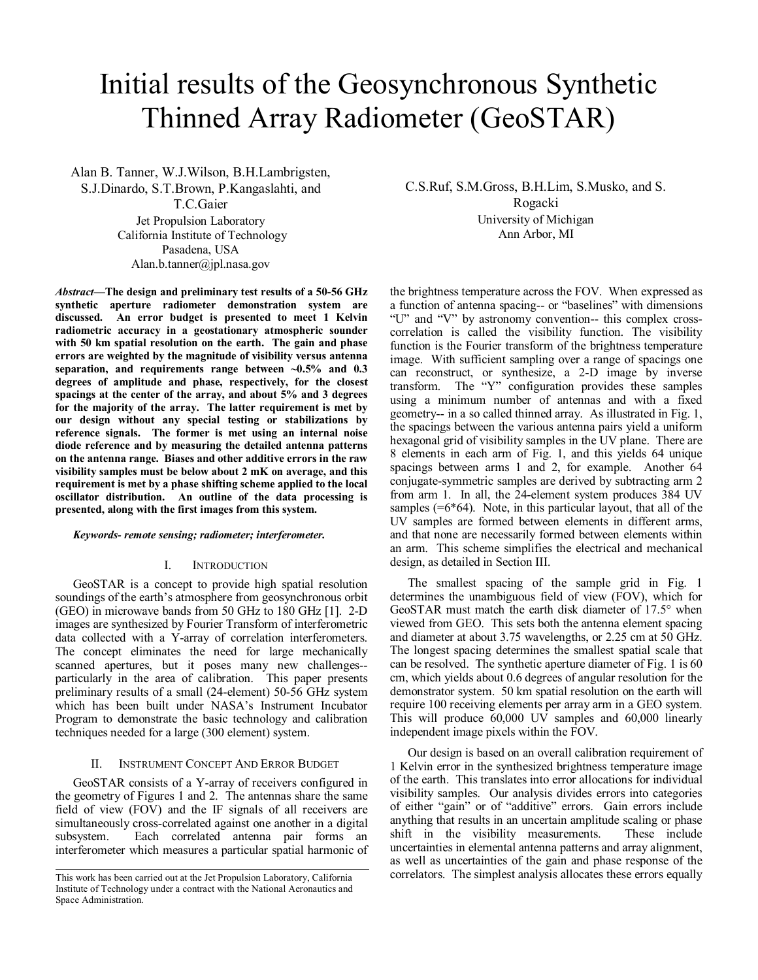# Initial results of the Geosynchronous Synthetic Thinned Array Radiometer (GeoSTAR)

Alan B. Tanner, W.J.Wilson, B.H.Lambrigsten, S.J.Dinardo, S.T.Brown, P.Kangaslahti, and T.C.Gaier Jet Propulsion Laboratory California Institute of Technology Pasadena, USA Alan.b.tanner@jpl.nasa.gov

*Abstract***—The design and preliminary test results of a 50-56 GHz synthetic aperture radiometer demonstration system are discussed. An error budget is presented to meet 1 Kelvin radiometric accuracy in a geostationary atmospheric sounder with 50 km spatial resolution on the earth. The gain and phase errors are weighted by the magnitude of visibility versus antenna separation, and requirements range between ~0.5% and 0.3 degrees of amplitude and phase, respectively, for the closest spacings at the center of the array, and about 5% and 3 degrees for the majority of the array. The latter requirement is met by our design without any special testing or stabilizations by reference signals. The former is met using an internal noise diode reference and by measuring the detailed antenna patterns on the antenna range. Biases and other additive errors in the raw visibility samples must be below about 2 mK on average, and this requirement is met by a phase shifting scheme applied to the local oscillator distribution. An outline of the data processing is presented, along with the first images from this system.** 

## *Keywords- remote sensing; radiometer; interferometer.*

### I. INTRODUCTION

GeoSTAR is a concept to provide high spatial resolution soundings of the earth's atmosphere from geosynchronous orbit (GEO) in microwave bands from 50 GHz to 180 GHz [1]. 2-D images are synthesized by Fourier Transform of interferometric data collected with a Y-array of correlation interferometers. The concept eliminates the need for large mechanically scanned apertures, but it poses many new challenges- particularly in the area of calibration. This paper presents preliminary results of a small (24-element) 50-56 GHz system which has been built under NASA's Instrument Incubator Program to demonstrate the basic technology and calibration techniques needed for a large (300 element) system.

#### II. INSTRUMENT CONCEPT AND ERROR BUDGET

GeoSTAR consists of a Y-array of receivers configured in the geometry of Figures 1 and 2. The antennas share the same field of view (FOV) and the IF signals of all receivers are simultaneously cross-correlated against one another in a digital subsystem. Each correlated antenna pair forms an interferometer which measures a particular spatial harmonic of C.S.Ruf, S.M.Gross, B.H.Lim, S.Musko, and S. Rogacki University of Michigan Ann Arbor, MI

the brightness temperature across the FOV. When expressed as a function of antenna spacing-- or "baselines" with dimensions "U" and "V" by astronomy convention-- this complex crosscorrelation is called the visibility function. The visibility function is the Fourier transform of the brightness temperature image. With sufficient sampling over a range of spacings one can reconstruct, or synthesize, a 2-D image by inverse transform. The "Y" configuration provides these samples using a minimum number of antennas and with a fixed geometry-- in a so called thinned array. As illustrated in Fig. 1, the spacings between the various antenna pairs yield a uniform hexagonal grid of visibility samples in the UV plane. There are 8 elements in each arm of Fig. 1, and this yields 64 unique spacings between arms 1 and 2, for example. Another 64 conjugate-symmetric samples are derived by subtracting arm 2 from arm 1. In all, the 24-element system produces 384 UV samples  $(=6*64)$ . Note, in this particular layout, that all of the UV samples are formed between elements in different arms, and that none are necessarily formed between elements within an arm. This scheme simplifies the electrical and mechanical design, as detailed in Section III.

The smallest spacing of the sample grid in Fig. 1 determines the unambiguous field of view (FOV), which for GeoSTAR must match the earth disk diameter of 17.5° when viewed from GEO. This sets both the antenna element spacing and diameter at about 3.75 wavelengths, or 2.25 cm at 50 GHz. The longest spacing determines the smallest spatial scale that can be resolved. The synthetic aperture diameter of Fig. 1 is 60 cm, which yields about 0.6 degrees of angular resolution for the demonstrator system. 50 km spatial resolution on the earth will require 100 receiving elements per array arm in a GEO system. This will produce 60,000 UV samples and 60,000 linearly independent image pixels within the FOV.

Our design is based on an overall calibration requirement of 1 Kelvin error in the synthesized brightness temperature image of the earth. This translates into error allocations for individual visibility samples. Our analysis divides errors into categories of either "gain" or of "additive" errors. Gain errors include anything that results in an uncertain amplitude scaling or phase shift in the visibility measurements. These include uncertainties in elemental antenna patterns and array alignment, as well as uncertainties of the gain and phase response of the This work has been carried out at the Jet Propulsion Laboratory, California correlators. The simplest analysis allocates these errors equally

Institute of Technology under a contract with the National Aeronautics and Space Administration.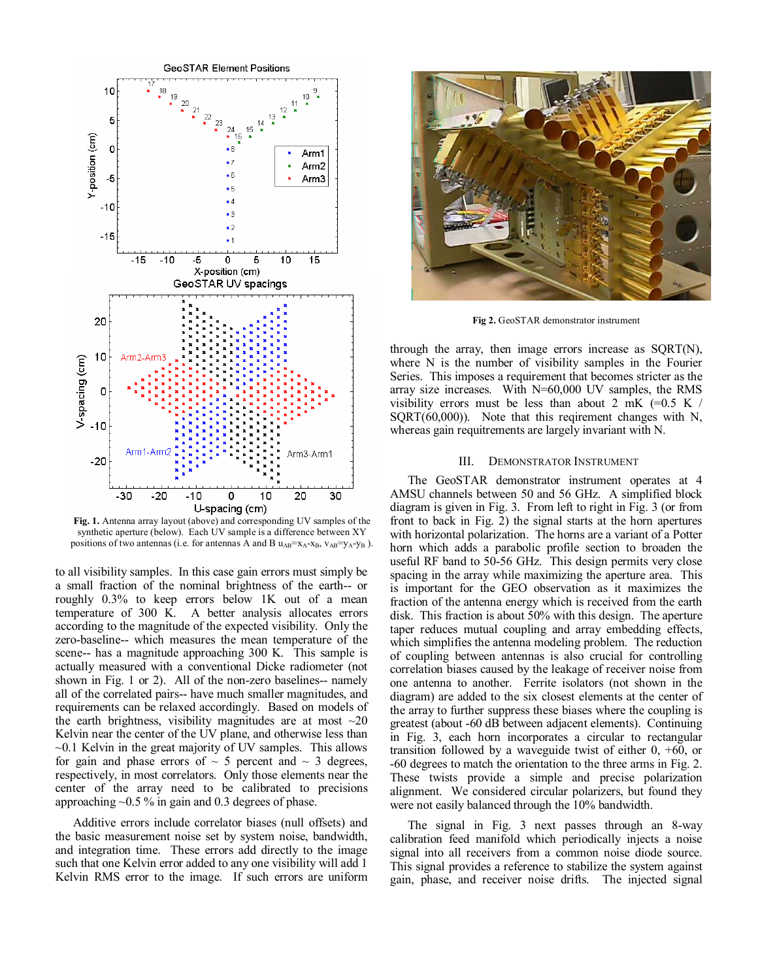

**Fig. 1.** Antenna array layout (above) and corresponding UV samples of the synthetic aperture (below). Each UV sample is a difference between XY positions of two antennas (i.e. for antennas A and B  $u_{AB} = x_A - x_B$ ,  $v_{AB} = y_A - y_B$ ).

to all visibility samples. In this case gain errors must simply be a small fraction of the nominal brightness of the earth-- or roughly 0.3% to keep errors below 1K out of a mean temperature of 300 K. A better analysis allocates errors according to the magnitude of the expected visibility. Only the zero-baseline-- which measures the mean temperature of the scene-- has a magnitude approaching 300 K. This sample is actually measured with a conventional Dicke radiometer (not shown in Fig. 1 or 2). All of the non-zero baselines-- namely all of the correlated pairs-- have much smaller magnitudes, and requirements can be relaxed accordingly. Based on models of the earth brightness, visibility magnitudes are at most  $\sim$ 20 Kelvin near the center of the UV plane, and otherwise less than  $\sim$ 0.1 Kelvin in the great majority of UV samples. This allows for gain and phase errors of  $\sim$  5 percent and  $\sim$  3 degrees, respectively, in most correlators. Only those elements near the center of the array need to be calibrated to precisions approaching  $\sim 0.5$  % in gain and 0.3 degrees of phase.

Additive errors include correlator biases (null offsets) and the basic measurement noise set by system noise, bandwidth, and integration time. These errors add directly to the image such that one Kelvin error added to any one visibility will add 1 Kelvin RMS error to the image. If such errors are uniform



**Fig 2.** GeoSTAR demonstrator instrument

through the array, then image errors increase as SQRT(N), where N is the number of visibility samples in the Fourier Series. This imposes a requirement that becomes stricter as the array size increases. With N=60,000 UV samples, the RMS visibility errors must be less than about 2 mK  $(=0.5 K)$ SORT(60,000)). Note that this reqirement changes with N, whereas gain requitrements are largely invariant with N.

## III. DEMONSTRATOR INSTRUMENT

The GeoSTAR demonstrator instrument operates at 4 AMSU channels between 50 and 56 GHz. A simplified block diagram is given in Fig. 3. From left to right in Fig. 3 (or from front to back in Fig. 2) the signal starts at the horn apertures with horizontal polarization. The horns are a variant of a Potter horn which adds a parabolic profile section to broaden the useful RF band to 50-56 GHz. This design permits very close spacing in the array while maximizing the aperture area. This is important for the GEO observation as it maximizes the fraction of the antenna energy which is received from the earth disk. This fraction is about 50% with this design. The aperture taper reduces mutual coupling and array embedding effects, which simplifies the antenna modeling problem. The reduction of coupling between antennas is also crucial for controlling correlation biases caused by the leakage of receiver noise from one antenna to another. Ferrite isolators (not shown in the diagram) are added to the six closest elements at the center of the array to further suppress these biases where the coupling is greatest (about -60 dB between adjacent elements). Continuing in Fig. 3, each horn incorporates a circular to rectangular transition followed by a waveguide twist of either  $0, +60,$  or -60 degrees to match the orientation to the three arms in Fig. 2. These twists provide a simple and precise polarization alignment. We considered circular polarizers, but found they were not easily balanced through the 10% bandwidth.

The signal in Fig. 3 next passes through an 8-way calibration feed manifold which periodically injects a noise signal into all receivers from a common noise diode source. This signal provides a reference to stabilize the system against gain, phase, and receiver noise drifts. The injected signal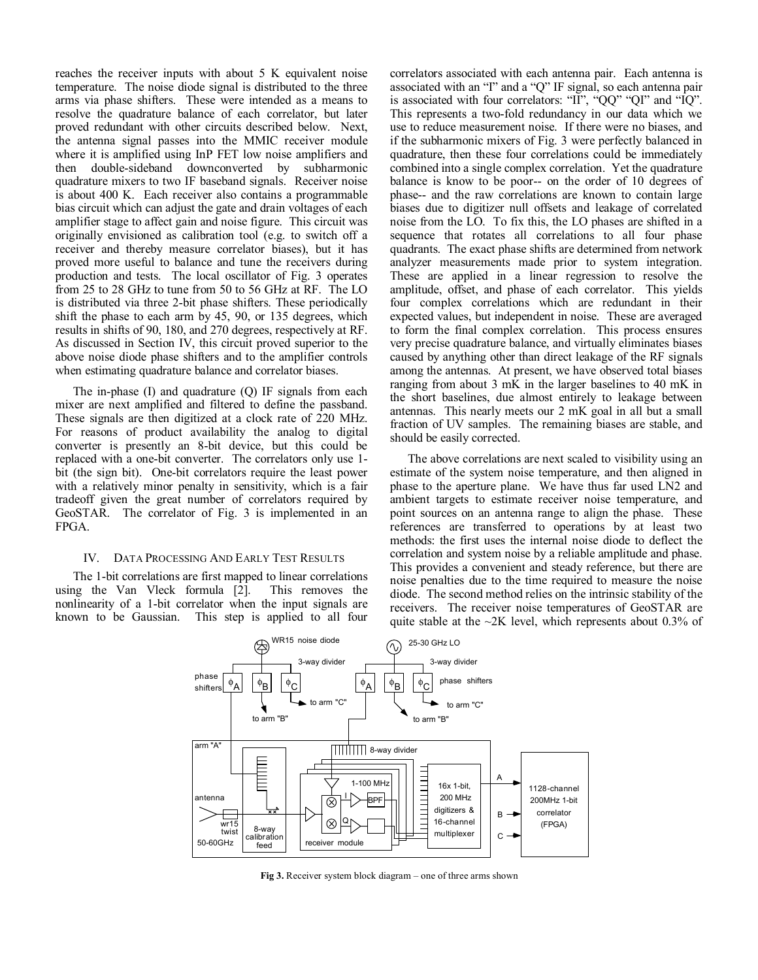reaches the receiver inputs with about 5 K equivalent noise temperature. The noise diode signal is distributed to the three arms via phase shifters. These were intended as a means to resolve the quadrature balance of each correlator, but later proved redundant with other circuits described below. Next, the antenna signal passes into the MMIC receiver module where it is amplified using InP FET low noise amplifiers and then double-sideband downconverted by subharmonic quadrature mixers to two IF baseband signals. Receiver noise is about 400 K. Each receiver also contains a programmable bias circuit which can adjust the gate and drain voltages of each amplifier stage to affect gain and noise figure. This circuit was originally envisioned as calibration tool (e.g. to switch off a receiver and thereby measure correlator biases), but it has proved more useful to balance and tune the receivers during production and tests. The local oscillator of Fig. 3 operates from 25 to 28 GHz to tune from 50 to 56 GHz at RF. The LO is distributed via three 2-bit phase shifters. These periodically shift the phase to each arm by 45, 90, or 135 degrees, which results in shifts of 90, 180, and 270 degrees, respectively at RF. As discussed in Section IV, this circuit proved superior to the above noise diode phase shifters and to the amplifier controls when estimating quadrature balance and correlator biases.

The in-phase (I) and quadrature (Q) IF signals from each mixer are next amplified and filtered to define the passband. These signals are then digitized at a clock rate of 220 MHz. For reasons of product availability the analog to digital converter is presently an 8-bit device, but this could be replaced with a one-bit converter. The correlators only use 1 bit (the sign bit). One-bit correlators require the least power with a relatively minor penalty in sensitivity, which is a fair tradeoff given the great number of correlators required by GeoSTAR. The correlator of Fig. 3 is implemented in an FPGA.

## IV. DATA PROCESSING AND EARLY TEST RESULTS

The 1-bit correlations are first mapped to linear correlations using the Van Vleck formula [2]. This removes the nonlinearity of a 1-bit correlator when the input signals are known to be Gaussian. This step is applied to all four

correlators associated with each antenna pair. Each antenna is associated with an "I" and a "Q" IF signal, so each antenna pair is associated with four correlators: "II", "QQ" "QI" and "IQ". This represents a two-fold redundancy in our data which we use to reduce measurement noise. If there were no biases, and if the subharmonic mixers of Fig. 3 were perfectly balanced in quadrature, then these four correlations could be immediately combined into a single complex correlation. Yet the quadrature balance is know to be poor-- on the order of 10 degrees of phase-- and the raw correlations are known to contain large biases due to digitizer null offsets and leakage of correlated noise from the LO. To fix this, the LO phases are shifted in a sequence that rotates all correlations to all four phase quadrants. The exact phase shifts are determined from network analyzer measurements made prior to system integration. These are applied in a linear regression to resolve the amplitude, offset, and phase of each correlator. This yields four complex correlations which are redundant in their expected values, but independent in noise. These are averaged to form the final complex correlation. This process ensures very precise quadrature balance, and virtually eliminates biases caused by anything other than direct leakage of the RF signals among the antennas. At present, we have observed total biases ranging from about 3 mK in the larger baselines to 40 mK in the short baselines, due almost entirely to leakage between antennas. This nearly meets our 2 mK goal in all but a small fraction of UV samples. The remaining biases are stable, and should be easily corrected.

The above correlations are next scaled to visibility using an estimate of the system noise temperature, and then aligned in phase to the aperture plane. We have thus far used LN2 and ambient targets to estimate receiver noise temperature, and point sources on an antenna range to align the phase. These references are transferred to operations by at least two methods: the first uses the internal noise diode to deflect the correlation and system noise by a reliable amplitude and phase. This provides a convenient and steady reference, but there are noise penalties due to the time required to measure the noise diode. The second method relies on the intrinsic stability of the receivers. The receiver noise temperatures of GeoSTAR are quite stable at the  $\sim$ 2K level, which represents about 0.3% of



**Fig 3.** Receiver system block diagram – one of three arms shown